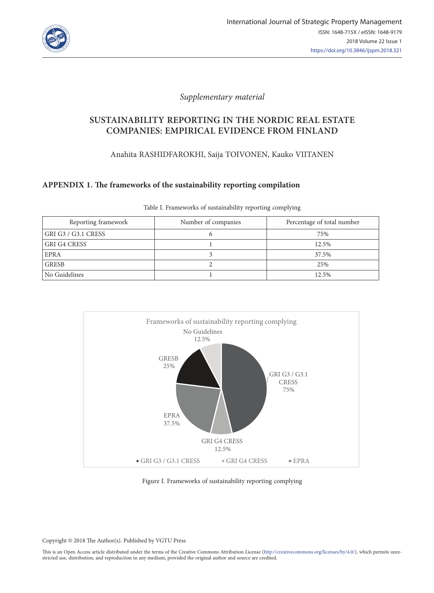

### *Supplementary material*

# **SUSTAINABILITY REPORTING IN THE NORDIC REAL ESTATE COMPANIES: EMPIRICAL EVIDENCE FROM FINLAND**

Anahita RASHIDFAROKHI, Saija TOIVONEN, Kauko VIITANEN

### **APPENDIX 1. The frameworks of the sustainability reporting compilation**

| Reporting framework | Number of companies | Percentage of total number |
|---------------------|---------------------|----------------------------|
| GRI G3 / G3.1 CRESS |                     | 75%                        |
| <b>GRI G4 CRESS</b> |                     | 12.5%                      |
| <b>EPRA</b>         |                     | 37.5%                      |
| <b>GRESB</b>        |                     | 25%                        |
| No Guidelines       |                     | 12.5%                      |

Table I. Frameworks of sustainability reporting complying



#### Figure I. Frameworks of sustainability reporting complying

Copyright © 2018 The Author(s). Published by VGTU Press

This is an Open Access article distributed under the terms of the Creative Commons Attribution License (http://creativecommons.org/licenses/by/4.0/), which permits unrestricted use, distribution, and reproduction in any medium, provided the original author and source are credited.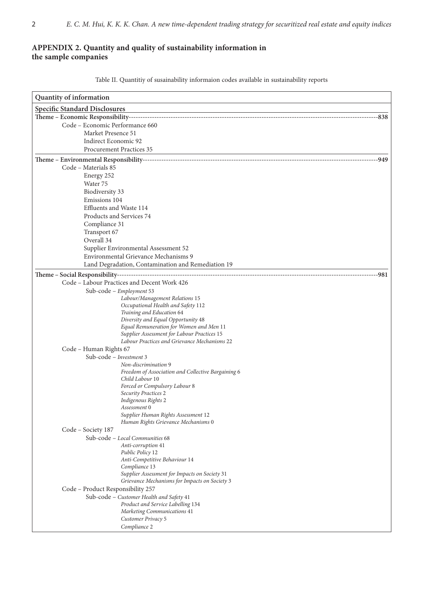## **APPENDIX 2. Quantity and quality of sustainability information in the sample companies**

Table II. Quantitiy of susainability informaion codes available in sustainability reports

| Quantity of information                                         |  |  |  |  |  |
|-----------------------------------------------------------------|--|--|--|--|--|
| <b>Specific Standard Disclosures</b>                            |  |  |  |  |  |
|                                                                 |  |  |  |  |  |
| Code - Economic Performance 660                                 |  |  |  |  |  |
| Market Presence 51                                              |  |  |  |  |  |
| Indirect Economic 92                                            |  |  |  |  |  |
| <b>Procurement Practices 35</b>                                 |  |  |  |  |  |
|                                                                 |  |  |  |  |  |
| Code - Materials 85                                             |  |  |  |  |  |
| Energy 252                                                      |  |  |  |  |  |
| Water 75                                                        |  |  |  |  |  |
| Biodiversity 33                                                 |  |  |  |  |  |
| Emissions 104                                                   |  |  |  |  |  |
| Effluents and Waste 114                                         |  |  |  |  |  |
| Products and Services 74                                        |  |  |  |  |  |
| Compliance 31                                                   |  |  |  |  |  |
| Transport 67                                                    |  |  |  |  |  |
| Overall 34                                                      |  |  |  |  |  |
| Supplier Environmental Assessment 52                            |  |  |  |  |  |
| Environmental Grievance Mechanisms 9                            |  |  |  |  |  |
| Land Degradation, Contamination and Remediation 19              |  |  |  |  |  |
|                                                                 |  |  |  |  |  |
| Code - Labour Practices and Decent Work 426                     |  |  |  |  |  |
| Sub-code - Employment 53                                        |  |  |  |  |  |
| Labour/Management Relations 15                                  |  |  |  |  |  |
| Occupational Health and Safety 112                              |  |  |  |  |  |
| Training and Education 64<br>Diversity and Equal Opportunity 48 |  |  |  |  |  |
| Equal Remuneration for Women and Men 11                         |  |  |  |  |  |
| Supplier Assessment for Labour Practices 15                     |  |  |  |  |  |
| Labour Practices and Grievance Mechanisms 22                    |  |  |  |  |  |
| Code - Human Rights 67                                          |  |  |  |  |  |
| Sub-code - Investment 3                                         |  |  |  |  |  |
| Non-discrimination 9                                            |  |  |  |  |  |
| Freedom of Association and Collective Bargaining 6              |  |  |  |  |  |
| Child Labour 10                                                 |  |  |  |  |  |
| Forced or Compulsory Labour 8<br>Security Practices 2           |  |  |  |  |  |
| Indigenous Rights 2                                             |  |  |  |  |  |
| Assessment 0                                                    |  |  |  |  |  |
| Supplier Human Rights Assessment 12                             |  |  |  |  |  |
| Human Rights Grievance Mechanisms 0                             |  |  |  |  |  |
| Code – Society 187                                              |  |  |  |  |  |
| Sub-code - Local Communities 68                                 |  |  |  |  |  |
| Anti-corruption 41                                              |  |  |  |  |  |
| Public Policy 12                                                |  |  |  |  |  |
| Anti-Competitive Behaviour 14                                   |  |  |  |  |  |
| Compliance 13<br>Supplier Assessment for Impacts on Society 31  |  |  |  |  |  |
| Grievance Mechanisms for Impacts on Society 3                   |  |  |  |  |  |
| Code - Product Responsibility 257                               |  |  |  |  |  |
| Sub-code - Customer Health and Safety 41                        |  |  |  |  |  |
| Product and Service Labelling 134                               |  |  |  |  |  |
| Marketing Communications 41                                     |  |  |  |  |  |
| Customer Privacy 5                                              |  |  |  |  |  |
| Compliance 2                                                    |  |  |  |  |  |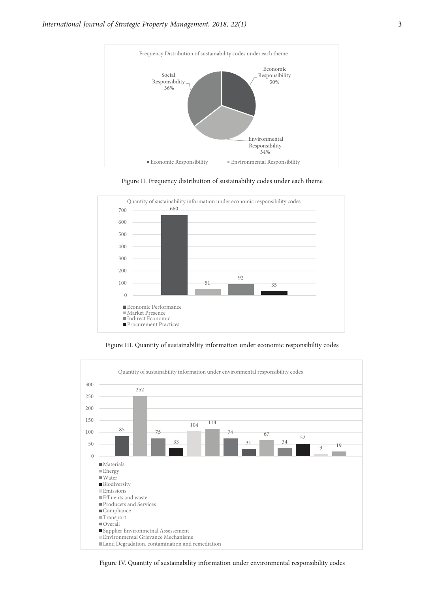

Figure II. Frequency distribution of sustainability codes under each theme



Figure III. Quantity of sustainability information under economic responsibility codes



Figure IV. Quantity of sustainability information under environmental responsibility codes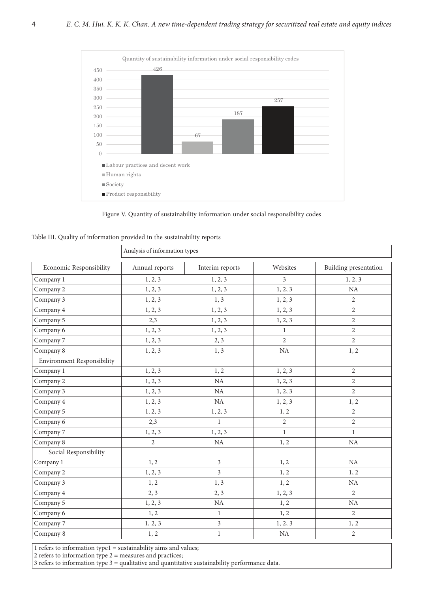

Figure V. Quantity of sustainability information under social responsibility codes

| Table III. Quality of information provided in the sustainability reports |  |  |  |  |
|--------------------------------------------------------------------------|--|--|--|--|
|--------------------------------------------------------------------------|--|--|--|--|

| Economic Responsibility           | Annual reports | Interim reports | Websites       | Building presentation |
|-----------------------------------|----------------|-----------------|----------------|-----------------------|
| Company 1                         | 1, 2, 3        | 1, 2, 3         | $\overline{3}$ | 1, 2, 3               |
| Company 2                         | 1, 2, 3        | 1, 2, 3         | 1, 2, 3        | NA                    |
| Company 3                         | 1, 2, 3        | 1, 3            | 1, 2, 3        | $\overline{2}$        |
| Company 4                         | 1, 2, 3        | 1, 2, 3         | 1, 2, 3        | $\overline{2}$        |
| Company 5                         | 2,3            | 1, 2, 3         | 1, 2, 3        | $\overline{2}$        |
| Company 6                         | 1, 2, 3        | 1, 2, 3         | $\mathbf{1}$   | $\overline{2}$        |
| Company 7                         | 1, 2, 3        | 2, 3            | $\overline{2}$ | $\overline{2}$        |
| Company 8                         | 1, 2, 3        | 1, 3            | NA             | 1, 2                  |
| <b>Environment Responsibility</b> |                |                 |                |                       |
| Company 1                         | 1, 2, 3        | 1, 2            | 1, 2, 3        | $\overline{2}$        |
| Company 2                         | 1, 2, 3        | NA              | 1, 2, 3        | $\overline{2}$        |
| Company 3                         | 1, 2, 3        | NA              | 1, 2, 3        | $\overline{2}$        |
| Company 4                         | 1, 2, 3        | NA              | 1, 2, 3        | 1, 2                  |
| Company 5                         | 1, 2, 3        | 1, 2, 3         | 1, 2           | $\overline{2}$        |
| Company 6                         | 2,3            | $\mathbf{1}$    | $\overline{2}$ | $\overline{2}$        |
| Company 7                         | 1, 2, 3        | 1, 2, 3         | $\mathbf{1}$   | $\mathbf{1}$          |
| Company 8                         | $\overline{2}$ | NA              | 1, 2           | NA                    |
| Social Responsibility             |                |                 |                |                       |
| Company 1                         | 1, 2           | $\mathfrak{Z}$  | 1, 2           | NA                    |
| Company 2                         | 1, 2, 3        | $\overline{3}$  | 1, 2           | 1, 2                  |
| Company 3                         | 1, 2           | 1, 3            | 1, 2           | NA                    |
| Company 4                         | 2, 3           | 2, 3            | 1, 2, 3        | 2                     |
| Company 5                         | 1, 2, 3        | $\rm NA$        | 1, 2           | NA                    |
| Company 6                         | 1, 2           | $\mathbf{1}$    | 1, 2           | $\overline{2}$        |
| Company 7                         | 1, 2, 3        | $\overline{3}$  | 1, 2, 3        | 1, 2                  |
| Company 8                         | 1, 2           | $\mathbf{1}$    | $\rm NA$       | $\overline{2}$        |

1 refers to information type1 = sustainability aims and values;

 $2$  refers to information type  $2=$  measures and practices;

3 refers to information type  $3 =$  qualitative and quantitative sustainability performance data.